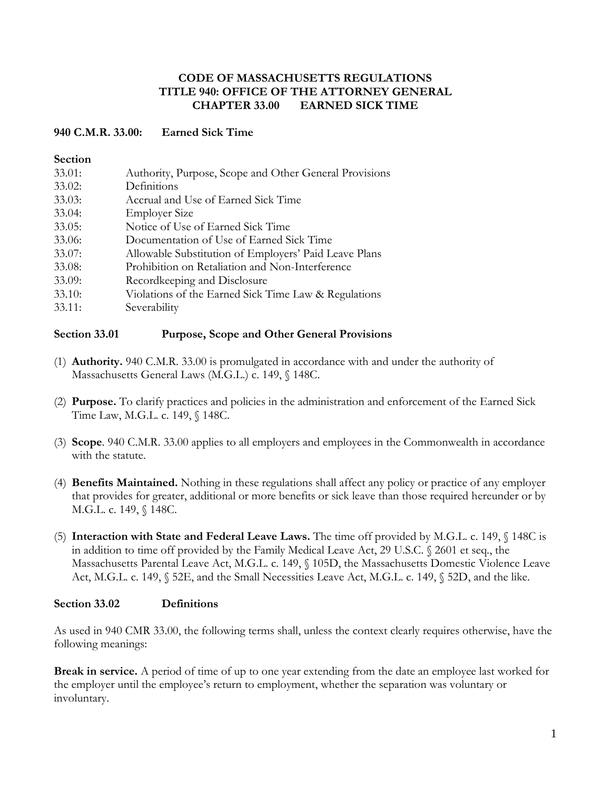### **CODE OF MASSACHUSETTS REGULATIONS TITLE 940: OFFICE OF THE ATTORNEY GENERAL CHAPTER 33.00 EARNED SICK TIME**

### **940 C.M.R. 33.00: Earned Sick Time**

#### **Section**

| 33.01: | Authority, Purpose, Scope and Other General Provisions |
|--------|--------------------------------------------------------|
| 33.02: | Definitions                                            |
| 33.03: | Accrual and Use of Earned Sick Time                    |
| 33.04: | <b>Employer Size</b>                                   |
| 33.05: | Notice of Use of Earned Sick Time                      |
| 33.06: | Documentation of Use of Earned Sick Time               |
| 33.07: | Allowable Substitution of Employers' Paid Leave Plans  |
| 33.08: | Prohibition on Retaliation and Non-Interference        |
| 33.09: | Recordkeeping and Disclosure                           |
| 33.10: | Violations of the Earned Sick Time Law & Regulations   |
| 33.11: | Severability                                           |

### **Section 33.01 Purpose, Scope and Other General Provisions**

- (1) **Authority.** 940 C.M.R. 33.00 is promulgated in accordance with and under the authority of Massachusetts General Laws (M.G.L.) c. 149, § 148C.
- (2) **Purpose.** To clarify practices and policies in the administration and enforcement of the Earned Sick Time Law, M.G.L. c. 149, § 148C.
- (3) **Scope**. 940 C.M.R. 33.00 applies to all employers and employees in the Commonwealth in accordance with the statute.
- (4) **Benefits Maintained.** Nothing in these regulations shall affect any policy or practice of any employer that provides for greater, additional or more benefits or sick leave than those required hereunder or by M.G.L. c. 149, § 148C.
- (5) **Interaction with State and Federal Leave Laws.** The time off provided by M.G.L. c. 149, § 148C is in addition to time off provided by the Family Medical Leave Act, 29 U.S.C. § 2601 et seq., the Massachusetts Parental Leave Act, M.G.L. c. 149, § 105D, the Massachusetts Domestic Violence Leave Act, M.G.L. c. 149, § 52E, and the Small Necessities Leave Act, M.G.L. c. 149, § 52D, and the like.

#### **Section 33.02 Definitions**

As used in 940 CMR 33.00, the following terms shall, unless the context clearly requires otherwise, have the following meanings:

**Break in service.** A period of time of up to one year extending from the date an employee last worked for the employer until the employee's return to employment, whether the separation was voluntary or involuntary.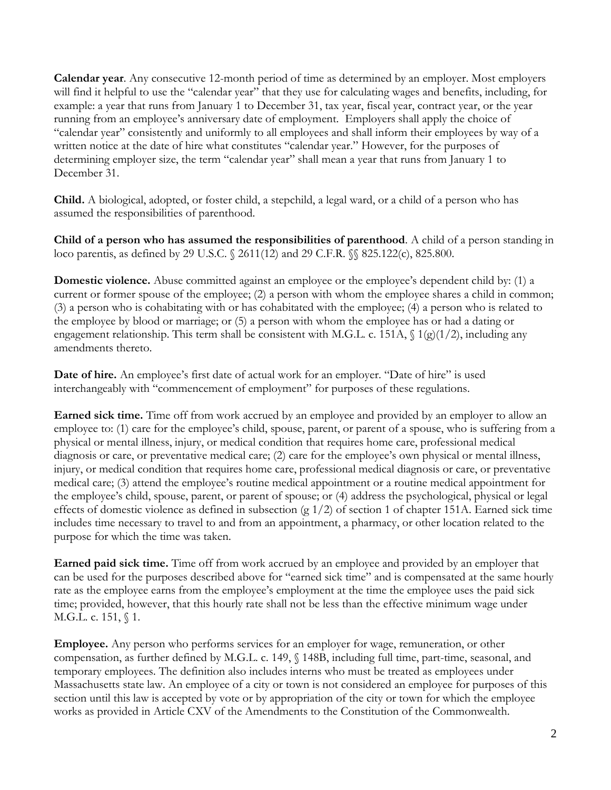**Calendar year**. Any consecutive 12-month period of time as determined by an employer. Most employers will find it helpful to use the "calendar year" that they use for calculating wages and benefits, including, for example: a year that runs from January 1 to December 31, tax year, fiscal year, contract year, or the year running from an employee's anniversary date of employment. Employers shall apply the choice of "calendar year" consistently and uniformly to all employees and shall inform their employees by way of a written notice at the date of hire what constitutes "calendar year." However, for the purposes of determining employer size, the term "calendar year" shall mean a year that runs from January 1 to December 31.

**Child.** A biological, adopted, or foster child, a stepchild, a legal ward, or a child of a person who has assumed the responsibilities of parenthood.

**Child of a person who has assumed the responsibilities of parenthood**. A child of a person standing in loco parentis, as defined by 29 U.S.C. § 2611(12) and 29 C.F.R. §§ 825.122(c), 825.800.

**Domestic violence.** Abuse committed against an employee or the employee's dependent child by: (1) a current or former spouse of the employee; (2) a person with whom the employee shares a child in common; (3) a person who is cohabitating with or has cohabitated with the employee; (4) a person who is related to the employee by blood or marriage; or (5) a person with whom the employee has or had a dating or engagement relationship. This term shall be consistent with M.G.L. c. 151A,  $\int$  1(g)(1/2), including any amendments thereto.

**Date of hire.** An employee's first date of actual work for an employer. "Date of hire" is used interchangeably with "commencement of employment" for purposes of these regulations.

**Earned sick time.** Time off from work accrued by an employee and provided by an employer to allow an employee to: (1) care for the employee's child, spouse, parent, or parent of a spouse, who is suffering from a physical or mental illness, injury, or medical condition that requires home care, professional medical diagnosis or care, or preventative medical care; (2) care for the employee's own physical or mental illness, injury, or medical condition that requires home care, professional medical diagnosis or care, or preventative medical care; (3) attend the employee's routine medical appointment or a routine medical appointment for the employee's child, spouse, parent, or parent of spouse; or (4) address the psychological, physical or legal effects of domestic violence as defined in subsection (g 1/2) of section 1 of chapter 151A. Earned sick time includes time necessary to travel to and from an appointment, a pharmacy, or other location related to the purpose for which the time was taken.

**Earned paid sick time.** Time off from work accrued by an employee and provided by an employer that can be used for the purposes described above for "earned sick time" and is compensated at the same hourly rate as the employee earns from the employee's employment at the time the employee uses the paid sick time; provided, however, that this hourly rate shall not be less than the effective minimum wage under M.G.L. c. 151, *§* 1.

**Employee.** Any person who performs services for an employer for wage, remuneration, or other compensation, as further defined by M.G.L. c. 149, § 148B, including full time, part-time, seasonal, and temporary employees. The definition also includes interns who must be treated as employees under Massachusetts state law. An employee of a city or town is not considered an employee for purposes of this section until this law is accepted by vote or by appropriation of the city or town for which the employee works as provided in Article CXV of the Amendments to the Constitution of the Commonwealth.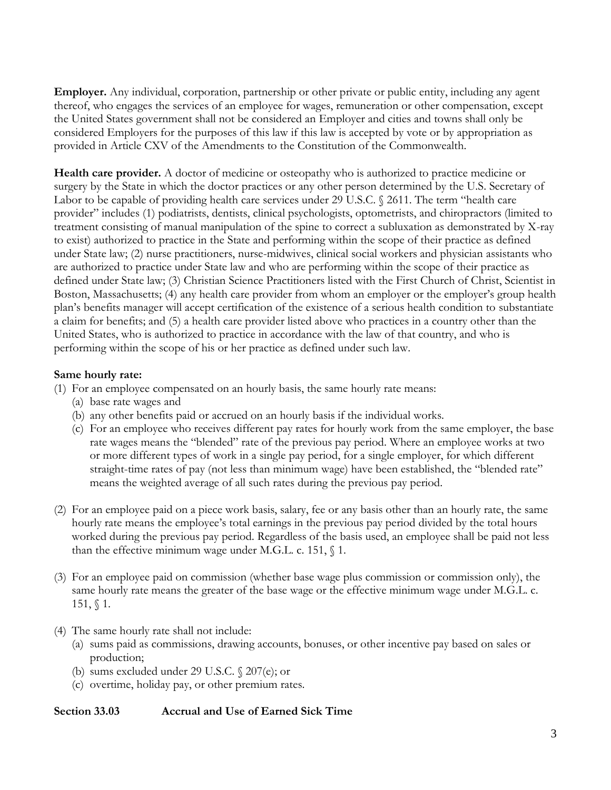**Employer.** Any individual, corporation, partnership or other private or public entity, including any agent thereof, who engages the services of an employee for wages, remuneration or other compensation, except the United States government shall not be considered an Employer and cities and towns shall only be considered Employers for the purposes of this law if this law is accepted by vote or by appropriation as provided in Article CXV of the Amendments to the Constitution of the Commonwealth.

**Health care provider.** A doctor of medicine or osteopathy who is authorized to practice medicine or surgery by the State in which the doctor practices or any other person determined by the U.S. Secretary of Labor to be capable of providing health care services under 29 U.S.C. § 2611. The term "health care provider" includes (1) podiatrists, dentists, clinical psychologists, optometrists, and chiropractors (limited to treatment consisting of manual manipulation of the spine to correct a subluxation as demonstrated by X-ray to exist) authorized to practice in the State and performing within the scope of their practice as defined under State law; (2) nurse practitioners, nurse-midwives, clinical social workers and physician assistants who are authorized to practice under State law and who are performing within the scope of their practice as defined under State law; (3) Christian Science Practitioners listed with the First Church of Christ, Scientist in Boston, Massachusetts; (4) any health care provider from whom an employer or the employer's group health plan's benefits manager will accept certification of the existence of a serious health condition to substantiate a claim for benefits; and (5) a health care provider listed above who practices in a country other than the United States, who is authorized to practice in accordance with the law of that country, and who is performing within the scope of his or her practice as defined under such law.

### **Same hourly rate:**

- (1) For an employee compensated on an hourly basis, the same hourly rate means:
	- (a) base rate wages and
	- (b) any other benefits paid or accrued on an hourly basis if the individual works.
	- (c) For an employee who receives different pay rates for hourly work from the same employer, the base rate wages means the "blended" rate of the previous pay period. Where an employee works at two or more different types of work in a single pay period, for a single employer, for which different straight-time rates of pay (not less than minimum wage) have been established, the "blended rate" means the weighted average of all such rates during the previous pay period.
- (2) For an employee paid on a piece work basis, salary, fee or any basis other than an hourly rate, the same hourly rate means the employee's total earnings in the previous pay period divided by the total hours worked during the previous pay period. Regardless of the basis used, an employee shall be paid not less than the effective minimum wage under M.G.L. c. 151,  $\S$  1.
- (3) For an employee paid on commission (whether base wage plus commission or commission only), the same hourly rate means the greater of the base wage or the effective minimum wage under M.G.L. c. 151, § 1.
- (4) The same hourly rate shall not include:
	- (a) sums paid as commissions, drawing accounts, bonuses, or other incentive pay based on sales or production;
	- (b) sums excluded under 29 U.S.C. § 207(e); or
	- (c) overtime, holiday pay, or other premium rates.

#### **Section 33.03 Accrual and Use of Earned Sick Time**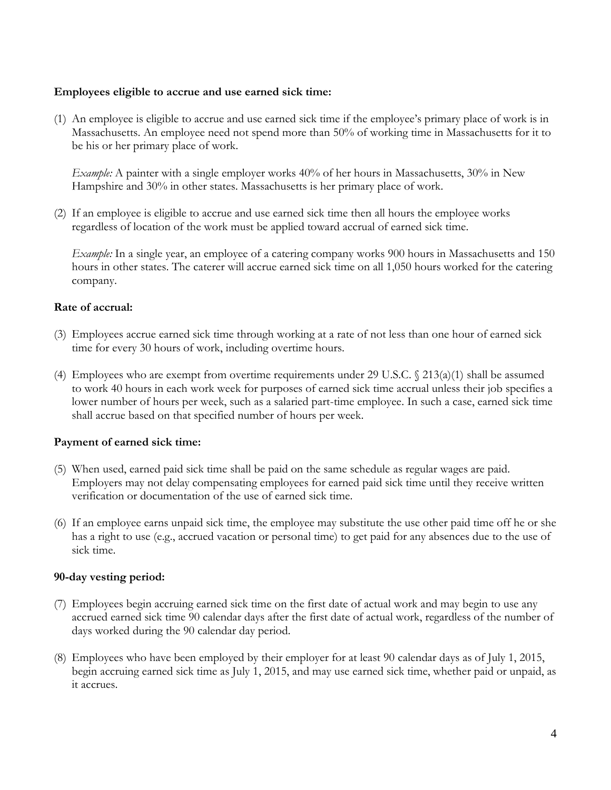#### **Employees eligible to accrue and use earned sick time:**

(1) An employee is eligible to accrue and use earned sick time if the employee's primary place of work is in Massachusetts. An employee need not spend more than 50% of working time in Massachusetts for it to be his or her primary place of work.

*Example:* A painter with a single employer works 40% of her hours in Massachusetts, 30% in New Hampshire and 30% in other states. Massachusetts is her primary place of work.

(2) If an employee is eligible to accrue and use earned sick time then all hours the employee works regardless of location of the work must be applied toward accrual of earned sick time.

*Example:* In a single year, an employee of a catering company works 900 hours in Massachusetts and 150 hours in other states. The caterer will accrue earned sick time on all 1,050 hours worked for the catering company.

#### **Rate of accrual:**

- (3) Employees accrue earned sick time through working at a rate of not less than one hour of earned sick time for every 30 hours of work, including overtime hours.
- (4) Employees who are exempt from overtime requirements under 29 U.S.C.  $\sqrt{(213(a)(1))}$  shall be assumed to work 40 hours in each work week for purposes of earned sick time accrual unless their job specifies a lower number of hours per week, such as a salaried part-time employee. In such a case, earned sick time shall accrue based on that specified number of hours per week.

#### **Payment of earned sick time:**

- (5) When used, earned paid sick time shall be paid on the same schedule as regular wages are paid. Employers may not delay compensating employees for earned paid sick time until they receive written verification or documentation of the use of earned sick time.
- (6) If an employee earns unpaid sick time, the employee may substitute the use other paid time off he or she has a right to use (e.g., accrued vacation or personal time) to get paid for any absences due to the use of sick time.

#### **90-day vesting period:**

- (7) Employees begin accruing earned sick time on the first date of actual work and may begin to use any accrued earned sick time 90 calendar days after the first date of actual work, regardless of the number of days worked during the 90 calendar day period.
- (8) Employees who have been employed by their employer for at least 90 calendar days as of July 1, 2015, begin accruing earned sick time as July 1, 2015, and may use earned sick time, whether paid or unpaid, as it accrues.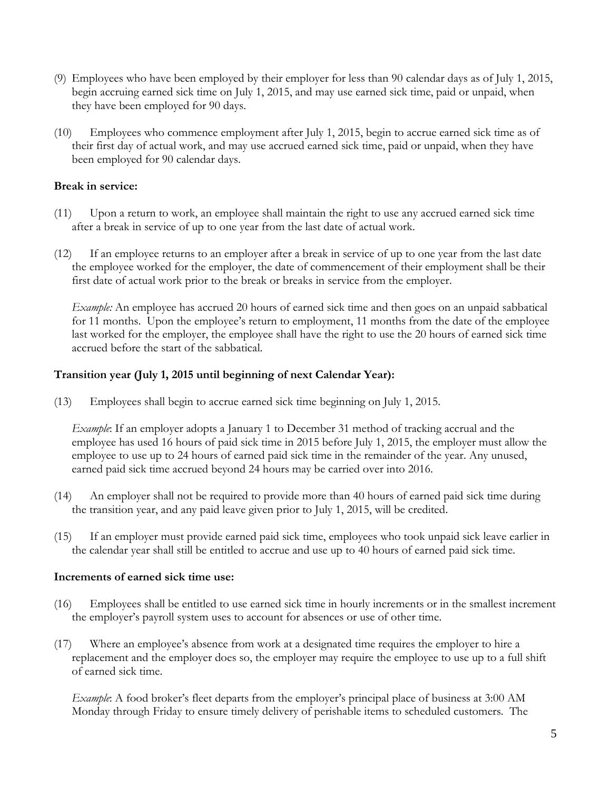- (9) Employees who have been employed by their employer for less than 90 calendar days as of July 1, 2015, begin accruing earned sick time on July 1, 2015, and may use earned sick time, paid or unpaid, when they have been employed for 90 days.
- (10) Employees who commence employment after July 1, 2015, begin to accrue earned sick time as of their first day of actual work, and may use accrued earned sick time, paid or unpaid, when they have been employed for 90 calendar days.

### **Break in service:**

- (11) Upon a return to work, an employee shall maintain the right to use any accrued earned sick time after a break in service of up to one year from the last date of actual work.
- (12) If an employee returns to an employer after a break in service of up to one year from the last date the employee worked for the employer, the date of commencement of their employment shall be their first date of actual work prior to the break or breaks in service from the employer.

*Example:* An employee has accrued 20 hours of earned sick time and then goes on an unpaid sabbatical for 11 months. Upon the employee's return to employment, 11 months from the date of the employee last worked for the employer, the employee shall have the right to use the 20 hours of earned sick time accrued before the start of the sabbatical.

### **Transition year (July 1, 2015 until beginning of next Calendar Year):**

(13) Employees shall begin to accrue earned sick time beginning on July 1, 2015.

*Example*: If an employer adopts a January 1 to December 31 method of tracking accrual and the employee has used 16 hours of paid sick time in 2015 before July 1, 2015, the employer must allow the employee to use up to 24 hours of earned paid sick time in the remainder of the year. Any unused, earned paid sick time accrued beyond 24 hours may be carried over into 2016.

- (14) An employer shall not be required to provide more than 40 hours of earned paid sick time during the transition year, and any paid leave given prior to July 1, 2015, will be credited.
- (15) If an employer must provide earned paid sick time, employees who took unpaid sick leave earlier in the calendar year shall still be entitled to accrue and use up to 40 hours of earned paid sick time.

#### **Increments of earned sick time use:**

- (16) Employees shall be entitled to use earned sick time in hourly increments or in the smallest increment the employer's payroll system uses to account for absences or use of other time.
- (17) Where an employee's absence from work at a designated time requires the employer to hire a replacement and the employer does so, the employer may require the employee to use up to a full shift of earned sick time.

*Example*: A food broker's fleet departs from the employer's principal place of business at 3:00 AM Monday through Friday to ensure timely delivery of perishable items to scheduled customers. The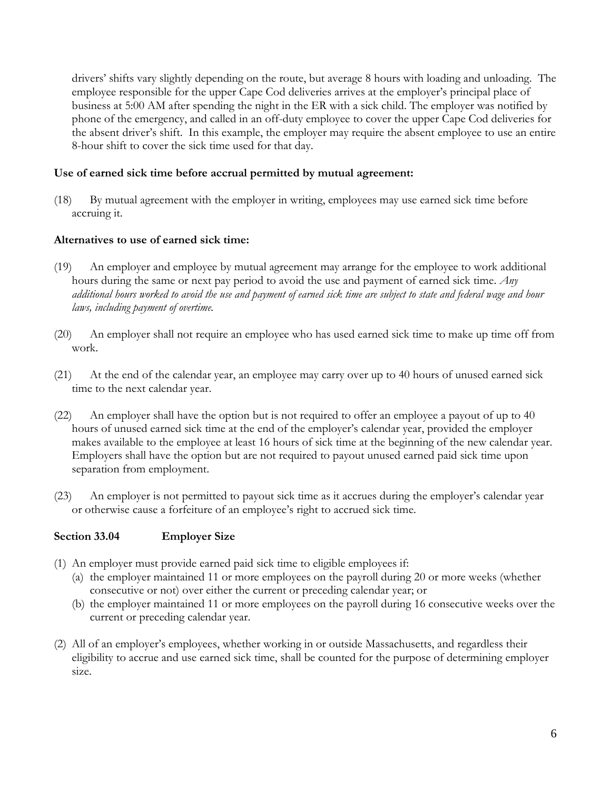drivers' shifts vary slightly depending on the route, but average 8 hours with loading and unloading. The employee responsible for the upper Cape Cod deliveries arrives at the employer's principal place of business at 5:00 AM after spending the night in the ER with a sick child. The employer was notified by phone of the emergency, and called in an off-duty employee to cover the upper Cape Cod deliveries for the absent driver's shift. In this example, the employer may require the absent employee to use an entire 8-hour shift to cover the sick time used for that day.

## **Use of earned sick time before accrual permitted by mutual agreement:**

(18) By mutual agreement with the employer in writing, employees may use earned sick time before accruing it.

### **Alternatives to use of earned sick time:**

- (19) An employer and employee by mutual agreement may arrange for the employee to work additional hours during the same or next pay period to avoid the use and payment of earned sick time. *Any additional hours worked to avoid the use and payment of earned sick time are subject to state and federal wage and hour laws, including payment of overtime.*
- (20) An employer shall not require an employee who has used earned sick time to make up time off from work.
- (21) At the end of the calendar year, an employee may carry over up to 40 hours of unused earned sick time to the next calendar year.
- (22) An employer shall have the option but is not required to offer an employee a payout of up to 40 hours of unused earned sick time at the end of the employer's calendar year, provided the employer makes available to the employee at least 16 hours of sick time at the beginning of the new calendar year. Employers shall have the option but are not required to payout unused earned paid sick time upon separation from employment.
- (23) An employer is not permitted to payout sick time as it accrues during the employer's calendar year or otherwise cause a forfeiture of an employee's right to accrued sick time.

#### **Section 33.04 Employer Size**

- (1) An employer must provide earned paid sick time to eligible employees if:
	- (a) the employer maintained 11 or more employees on the payroll during 20 or more weeks (whether consecutive or not) over either the current or preceding calendar year; or
	- (b) the employer maintained 11 or more employees on the payroll during 16 consecutive weeks over the current or preceding calendar year.
- (2) All of an employer's employees, whether working in or outside Massachusetts, and regardless their eligibility to accrue and use earned sick time, shall be counted for the purpose of determining employer size.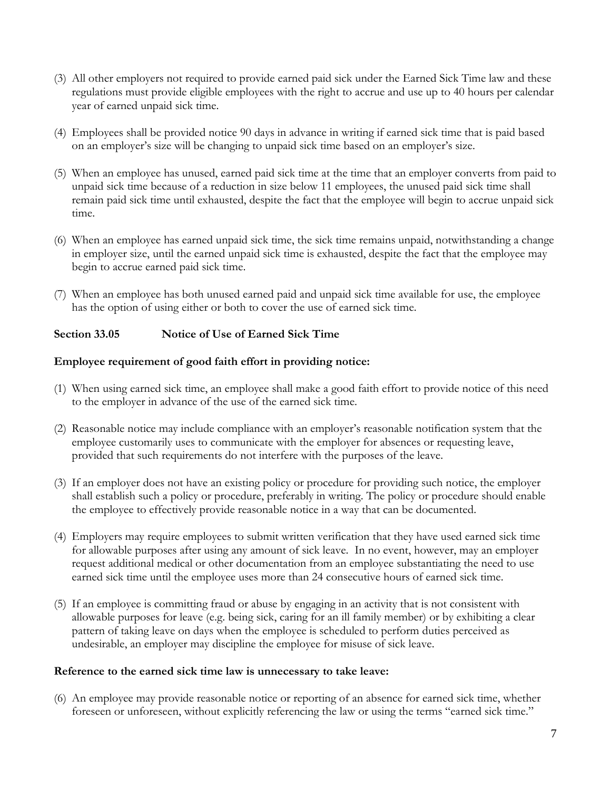- (3) All other employers not required to provide earned paid sick under the Earned Sick Time law and these regulations must provide eligible employees with the right to accrue and use up to 40 hours per calendar year of earned unpaid sick time.
- (4) Employees shall be provided notice 90 days in advance in writing if earned sick time that is paid based on an employer's size will be changing to unpaid sick time based on an employer's size.
- (5) When an employee has unused, earned paid sick time at the time that an employer converts from paid to unpaid sick time because of a reduction in size below 11 employees, the unused paid sick time shall remain paid sick time until exhausted, despite the fact that the employee will begin to accrue unpaid sick time.
- (6) When an employee has earned unpaid sick time, the sick time remains unpaid, notwithstanding a change in employer size, until the earned unpaid sick time is exhausted, despite the fact that the employee may begin to accrue earned paid sick time.
- (7) When an employee has both unused earned paid and unpaid sick time available for use, the employee has the option of using either or both to cover the use of earned sick time.

# **Section 33.05 Notice of Use of Earned Sick Time**

### **Employee requirement of good faith effort in providing notice:**

- (1) When using earned sick time, an employee shall make a good faith effort to provide notice of this need to the employer in advance of the use of the earned sick time.
- (2) Reasonable notice may include compliance with an employer's reasonable notification system that the employee customarily uses to communicate with the employer for absences or requesting leave, provided that such requirements do not interfere with the purposes of the leave.
- (3) If an employer does not have an existing policy or procedure for providing such notice, the employer shall establish such a policy or procedure, preferably in writing. The policy or procedure should enable the employee to effectively provide reasonable notice in a way that can be documented.
- (4) Employers may require employees to submit written verification that they have used earned sick time for allowable purposes after using any amount of sick leave. In no event, however, may an employer request additional medical or other documentation from an employee substantiating the need to use earned sick time until the employee uses more than 24 consecutive hours of earned sick time.
- (5) If an employee is committing fraud or abuse by engaging in an activity that is not consistent with allowable purposes for leave (e.g. being sick, caring for an ill family member) or by exhibiting a clear pattern of taking leave on days when the employee is scheduled to perform duties perceived as undesirable, an employer may discipline the employee for misuse of sick leave.

#### **Reference to the earned sick time law is unnecessary to take leave:**

(6) An employee may provide reasonable notice or reporting of an absence for earned sick time, whether foreseen or unforeseen, without explicitly referencing the law or using the terms "earned sick time."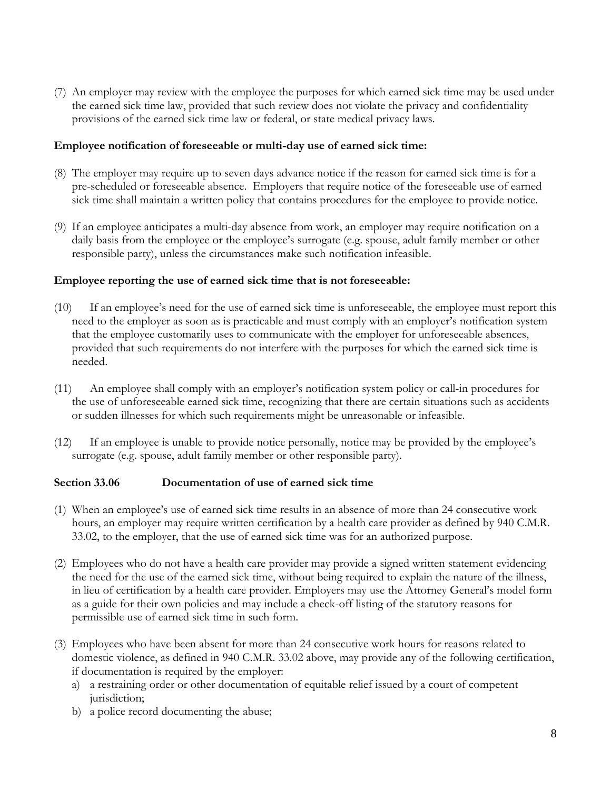(7) An employer may review with the employee the purposes for which earned sick time may be used under the earned sick time law, provided that such review does not violate the privacy and confidentiality provisions of the earned sick time law or federal, or state medical privacy laws.

### **Employee notification of foreseeable or multi-day use of earned sick time:**

- (8) The employer may require up to seven days advance notice if the reason for earned sick time is for a pre-scheduled or foreseeable absence. Employers that require notice of the foreseeable use of earned sick time shall maintain a written policy that contains procedures for the employee to provide notice.
- (9) If an employee anticipates a multi-day absence from work, an employer may require notification on a daily basis from the employee or the employee's surrogate (e.g. spouse, adult family member or other responsible party), unless the circumstances make such notification infeasible.

#### **Employee reporting the use of earned sick time that is not foreseeable:**

- (10) If an employee's need for the use of earned sick time is unforeseeable, the employee must report this need to the employer as soon as is practicable and must comply with an employer's notification system that the employee customarily uses to communicate with the employer for unforeseeable absences, provided that such requirements do not interfere with the purposes for which the earned sick time is needed.
- (11) An employee shall comply with an employer's notification system policy or call-in procedures for the use of unforeseeable earned sick time, recognizing that there are certain situations such as accidents or sudden illnesses for which such requirements might be unreasonable or infeasible.
- (12) If an employee is unable to provide notice personally, notice may be provided by the employee's surrogate (e.g. spouse, adult family member or other responsible party).

## **Section 33.06 Documentation of use of earned sick time**

- (1) When an employee's use of earned sick time results in an absence of more than 24 consecutive work hours, an employer may require written certification by a health care provider as defined by 940 C.M.R. 33.02, to the employer, that the use of earned sick time was for an authorized purpose.
- (2) Employees who do not have a health care provider may provide a signed written statement evidencing the need for the use of the earned sick time, without being required to explain the nature of the illness, in lieu of certification by a health care provider. Employers may use the Attorney General's model form as a guide for their own policies and may include a check-off listing of the statutory reasons for permissible use of earned sick time in such form.
- (3) Employees who have been absent for more than 24 consecutive work hours for reasons related to domestic violence, as defined in 940 C.M.R. 33.02 above, may provide any of the following certification, if documentation is required by the employer:
	- a) a restraining order or other documentation of equitable relief issued by a court of competent jurisdiction:
	- b) a police record documenting the abuse;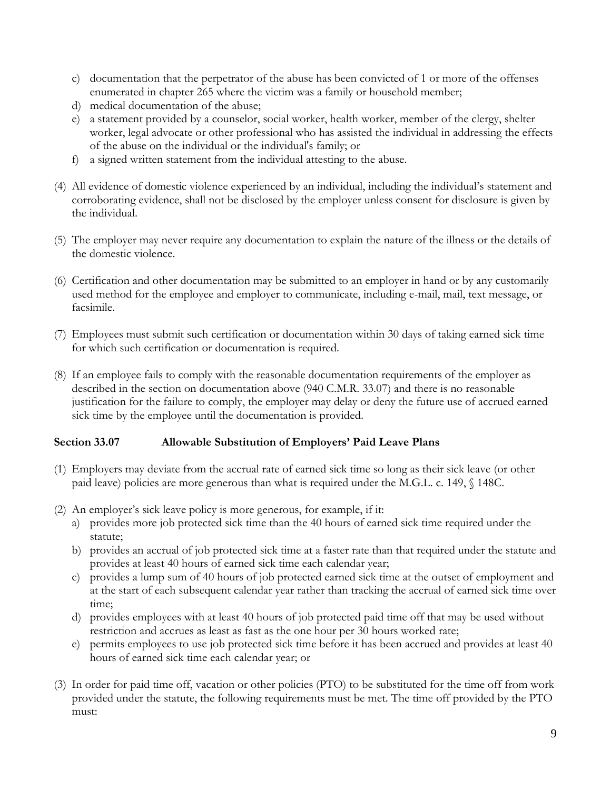- c) documentation that the perpetrator of the abuse has been convicted of 1 or more of the offenses enumerated in chapter 265 where the victim was a family or household member;
- d) medical documentation of the abuse;
- e) a statement provided by a counselor, social worker, health worker, member of the clergy, shelter worker, legal advocate or other professional who has assisted the individual in addressing the effects of the abuse on the individual or the individual's family; or
- f) a signed written statement from the individual attesting to the abuse.
- (4) All evidence of domestic violence experienced by an individual, including the individual's statement and corroborating evidence, shall not be disclosed by the employer unless consent for disclosure is given by the individual.
- (5) The employer may never require any documentation to explain the nature of the illness or the details of the domestic violence.
- (6) Certification and other documentation may be submitted to an employer in hand or by any customarily used method for the employee and employer to communicate, including e-mail, mail, text message, or facsimile.
- (7) Employees must submit such certification or documentation within 30 days of taking earned sick time for which such certification or documentation is required.
- (8) If an employee fails to comply with the reasonable documentation requirements of the employer as described in the section on documentation above (940 C.M.R. 33.07) and there is no reasonable justification for the failure to comply, the employer may delay or deny the future use of accrued earned sick time by the employee until the documentation is provided.

## **Section 33.07 Allowable Substitution of Employers' Paid Leave Plans**

- (1) Employers may deviate from the accrual rate of earned sick time so long as their sick leave (or other paid leave) policies are more generous than what is required under the M.G.L. c. 149, § 148C.
- (2) An employer's sick leave policy is more generous, for example, if it:
	- a) provides more job protected sick time than the 40 hours of earned sick time required under the statute;
	- b) provides an accrual of job protected sick time at a faster rate than that required under the statute and provides at least 40 hours of earned sick time each calendar year;
	- c) provides a lump sum of 40 hours of job protected earned sick time at the outset of employment and at the start of each subsequent calendar year rather than tracking the accrual of earned sick time over time;
	- d) provides employees with at least 40 hours of job protected paid time off that may be used without restriction and accrues as least as fast as the one hour per 30 hours worked rate;
	- e) permits employees to use job protected sick time before it has been accrued and provides at least 40 hours of earned sick time each calendar year; or
- (3) In order for paid time off, vacation or other policies (PTO) to be substituted for the time off from work provided under the statute, the following requirements must be met. The time off provided by the PTO must: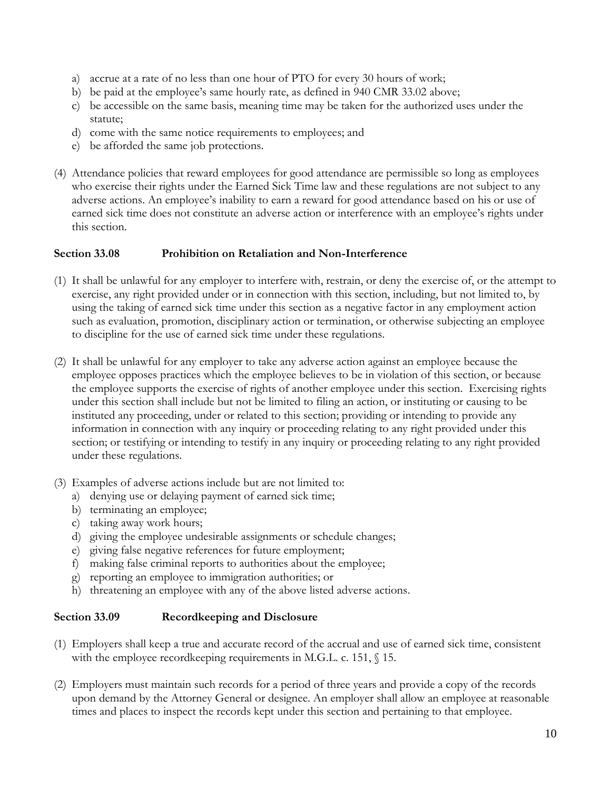- a) accrue at a rate of no less than one hour of PTO for every 30 hours of work;
- b) be paid at the employee's same hourly rate, as defined in 940 CMR 33.02 above;
- c) be accessible on the same basis, meaning time may be taken for the authorized uses under the statute;
- d) come with the same notice requirements to employees; and
- e) be afforded the same job protections.
- (4) Attendance policies that reward employees for good attendance are permissible so long as employees who exercise their rights under the Earned Sick Time law and these regulations are not subject to any adverse actions. An employee's inability to earn a reward for good attendance based on his or use of earned sick time does not constitute an adverse action or interference with an employee's rights under this section.

### **Section 33.08 Prohibition on Retaliation and Non-Interference**

- (1) It shall be unlawful for any employer to interfere with, restrain, or deny the exercise of, or the attempt to exercise, any right provided under or in connection with this section, including, but not limited to, by using the taking of earned sick time under this section as a negative factor in any employment action such as evaluation, promotion, disciplinary action or termination, or otherwise subjecting an employee to discipline for the use of earned sick time under these regulations.
- (2) It shall be unlawful for any employer to take any adverse action against an employee because the employee opposes practices which the employee believes to be in violation of this section, or because the employee supports the exercise of rights of another employee under this section. Exercising rights under this section shall include but not be limited to filing an action, or instituting or causing to be instituted any proceeding, under or related to this section; providing or intending to provide any information in connection with any inquiry or proceeding relating to any right provided under this section; or testifying or intending to testify in any inquiry or proceeding relating to any right provided under these regulations.
- (3) Examples of adverse actions include but are not limited to:
	- a) denying use or delaying payment of earned sick time;
	- b) terminating an employee;
	- c) taking away work hours;
	- d) giving the employee undesirable assignments or schedule changes;
	- e) giving false negative references for future employment;
	- f) making false criminal reports to authorities about the employee;
	- g) reporting an employee to immigration authorities; or
	- h) threatening an employee with any of the above listed adverse actions.

## **Section 33.09 Recordkeeping and Disclosure**

- (1) Employers shall keep a true and accurate record of the accrual and use of earned sick time, consistent with the employee recordkeeping requirements in M.G.L. c. 151,  $\sqrt{15}$ .
- (2) Employers must maintain such records for a period of three years and provide a copy of the records upon demand by the Attorney General or designee. An employer shall allow an employee at reasonable times and places to inspect the records kept under this section and pertaining to that employee.